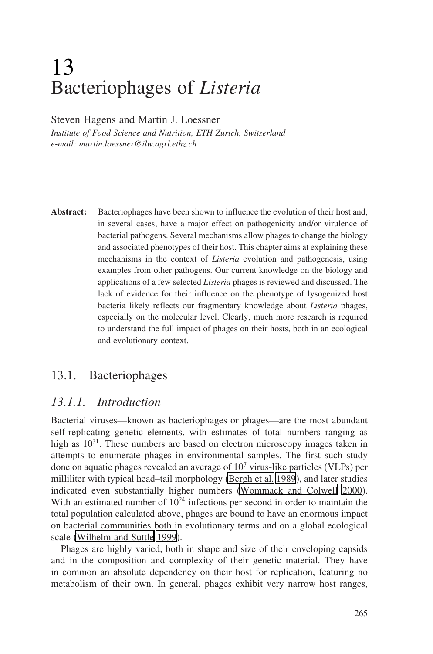# 13 Bacteriophages of *Listeria*

Steven Hagens and Martin J. Loessner

*Institute of Food Science and Nutrition, ETH Zurich, Switzerland e-mail: martin.loessner@ilw.agrl.ethz.ch*

**Abstract:** Bacteriophages have been shown to influence the evolution of their host and, in several cases, have a major effect on pathogenicity and/or virulence of bacterial pathogens. Several mechanisms allow phages to change the biology and associated phenotypes of their host. This chapter aims at explaining these mechanisms in the context of *Listeria* evolution and pathogenesis, using examples from other pathogens. Our current knowledge on the biology and applications of a few selected *Listeria* phages is reviewed and discussed. The lack of evidence for their influence on the phenotype of lysogenized host bacteria likely reflects our fragmentary knowledge about *Listeria* phages, especially on the molecular level. Clearly, much more research is required to understand the full impact of phages on their hosts, both in an ecological and evolutionary context.

#### 13.1. Bacteriophages

## *13.1.1. Introduction*

Bacterial viruses—known as bacteriophages or phages—are the most abundant self-replicating genetic elements, with estimates of total numbers ranging as high as  $10^{31}$ . These numbers are based on electron microscopy images taken in attempts to enumerate phages in environmental samples. The first such study done on aquatic phages revealed an average of  $10<sup>7</sup>$  virus-like particles (VLPs) per milliliter with typical head–tail morphology [\(Bergh et al. 1989\)](#page-11-0), and later studies indicated even substantially higher numbers [\(Wommack and Colwell 2000\)](#page-14-0). With an estimated number of  $10^{24}$  infections per second in order to maintain the total population calculated above, phages are bound to have an enormous impact on bacterial communities both in evolutionary terms and on a global ecological scale [\(Wilhelm and Suttle 1999](#page-14-0)).

Phages are highly varied, both in shape and size of their enveloping capsids and in the composition and complexity of their genetic material. They have in common an absolute dependency on their host for replication, featuring no metabolism of their own. In general, phages exhibit very narrow host ranges,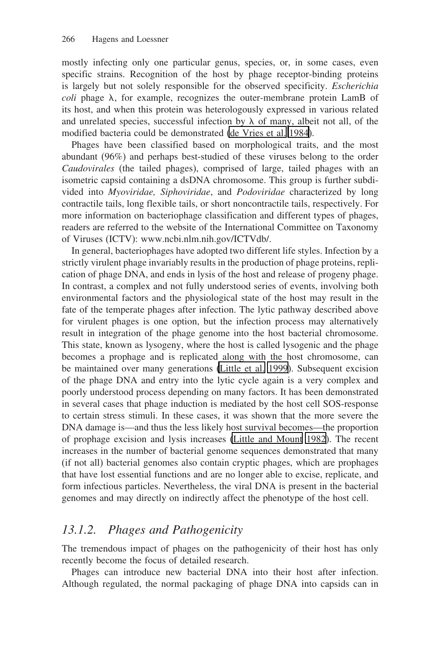mostly infecting only one particular genus, species, or, in some cases, even specific strains. Recognition of the host by phage receptor-binding proteins is largely but not solely responsible for the observed specificity. *Escherichia* coli phage  $\lambda$ , for example, recognizes the outer-membrane protein LamB of its host, and when this protein was heterologously expressed in various related and unrelated species, successful infection by  $\lambda$  of many, albeit not all, of the modified bacteria could be demonstrated [\(de Vries et al. 1984\)](#page-11-0).

Phages have been classified based on morphological traits, and the most abundant (96%) and perhaps best-studied of these viruses belong to the order *Caudovirales* (the tailed phages), comprised of large, tailed phages with an isometric capsid containing a dsDNA chromosome. This group is further subdivided into *Myoviridae, Siphoviridae*, and *Podoviridae* characterized by long contractile tails, long flexible tails, or short noncontractile tails, respectively. For more information on bacteriophage classification and different types of phages, readers are referred to the website of the International Committee on Taxonomy of Viruses (ICTV): www.ncbi.nlm.nih.gov/ICTVdb/.

In general, bacteriophages have adopted two different life styles. Infection by a strictly virulent phage invariably results in the production of phage proteins, replication of phage DNA, and ends in lysis of the host and release of progeny phage. In contrast, a complex and not fully understood series of events, involving both environmental factors and the physiological state of the host may result in the fate of the temperate phages after infection. The lytic pathway described above for virulent phages is one option, but the infection process may alternatively result in integration of the phage genome into the host bacterial chromosome. This state, known as lysogeny, where the host is called lysogenic and the phage becomes a prophage and is replicated along with the host chromosome, can be maintained over many generations [\(Little et al. 1999](#page-13-0)). Subsequent excision of the phage DNA and entry into the lytic cycle again is a very complex and poorly understood process depending on many factors. It has been demonstrated in several cases that phage induction is mediated by the host cell SOS-response to certain stress stimuli. In these cases, it was shown that the more severe the DNA damage is—and thus the less likely host survival becomes—the proportion of prophage excision and lysis increases [\(Little and Mount 1982](#page-13-0)). The recent increases in the number of bacterial genome sequences demonstrated that many (if not all) bacterial genomes also contain cryptic phages, which are prophages that have lost essential functions and are no longer able to excise, replicate, and form infectious particles. Nevertheless, the viral DNA is present in the bacterial genomes and may directly on indirectly affect the phenotype of the host cell.

# *13.1.2. Phages and Pathogenicity*

The tremendous impact of phages on the pathogenicity of their host has only recently become the focus of detailed research.

Phages can introduce new bacterial DNA into their host after infection. Although regulated, the normal packaging of phage DNA into capsids can in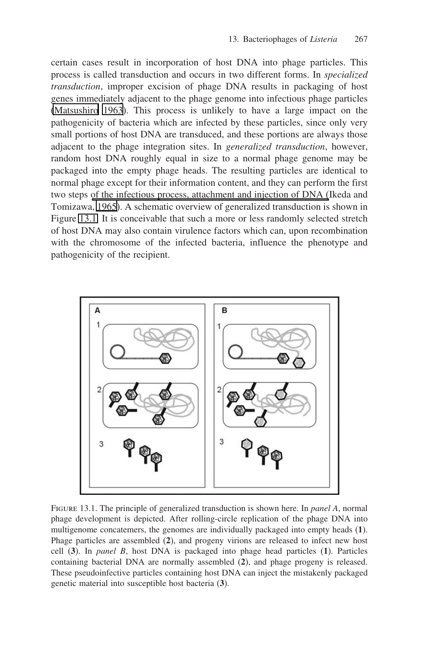certain cases result in incorporation of host DNA into phage particles. This process is called transduction and occurs in two different forms. In *specialized transduction*, improper excision of phage DNA results in packaging of host genes immediately adjacent to the phage genome into infectious phage particles [\(Matsushiro 1963](#page-13-0)). This process is unlikely to have a large impact on the pathogenicity of bacteria which are infected by these particles, since only very small portions of host DNA are transduced, and these portions are always those adjacent to the phage integration sites. In *generalized transduction*, however, random host DNA roughly equal in size to a normal phage genome may be packaged into the empty phage heads. The resulting particles are identical to normal phage except for their information content, and they can perform the first two steps [of the infectious process, attachment and injection of DNA \(](#page-12-0)Ikeda and Tomizawa, [1965\)](#page-12-0). A schematic overview of generalized transduction is shown in Figure 13.1. It is conceivable that such a more or less randomly selected stretch of host DNA may also contain virulence factors which can, upon recombination with the chromosome of the infected bacteria, influence the phenotype and pathogenicity of the recipient.



Figure 13.1. The principle of generalized transduction is shown here. In *panel A*, normal phage development is depicted. After rolling-circle replication of the phage DNA into multigenome concatemers, the genomes are individually packaged into empty heads (**1**). Phage particles are assembled (**2**), and progeny virions are released to infect new host cell (**3**). In *panel B*, host DNA is packaged into phage head particles (**1**). Particles containing bacterial DNA are normally assembled (**2**), and phage progeny is released. These pseudoinfective particles containing host DNA can inject the mistakenly packaged genetic material into susceptible host bacteria (**3**).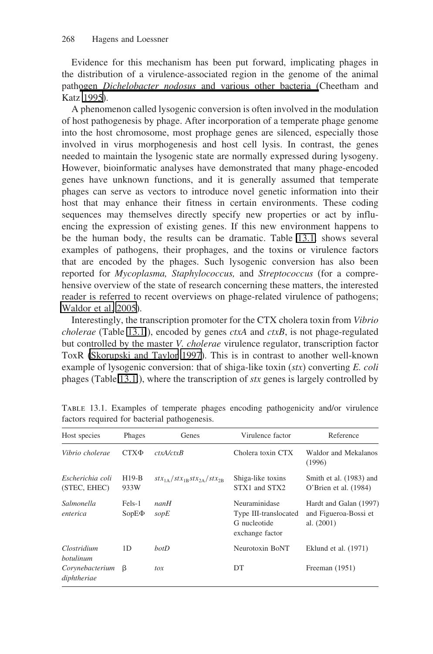Evidence for this mechanism has been put forward, implicating phages in the distribution of a virulence-associated region in the genome of the animal pathogen *Dichelobacter nodosus* [and](#page-11-0) [various](#page-11-0) [other](#page-11-0) [bacteria](#page-11-0) [\(](#page-11-0)Cheetham and Katz [1995\)](#page-11-0).

A phenomenon called lysogenic conversion is often involved in the modulation of host pathogenesis by phage. After incorporation of a temperate phage genome into the host chromosome, most prophage genes are silenced, especially those involved in virus morphogenesis and host cell lysis. In contrast, the genes needed to maintain the lysogenic state are normally expressed during lysogeny. However, bioinformatic analyses have demonstrated that many phage-encoded genes have unknown functions, and it is generally assumed that temperate phages can serve as vectors to introduce novel genetic information into their host that may enhance their fitness in certain environments. These coding sequences may themselves directly specify new properties or act by influencing the expression of existing genes. If this new environment happens to be the human body, the results can be dramatic. Table 13.1. shows several examples of pathogens, their prophages, and the toxins or virulence factors that are encoded by the phages. Such lysogenic conversion has also been reported for *Mycoplasma, Staphylococcus,* and *Streptococcus* (for a comprehensive overview of the state of research concerning these matters, the interested reader is referred to recent overviews on phage-related virulence of pathogens; [Waldor et al. 2005\)](#page-14-0).

Interestingly, the transcription promoter for the CTX cholera toxin from *Vibrio cholerae* (Table 13.1.), encoded by genes *ctxA* and *ctxB*, is not phage-regulated but controlled by the master *V. cholerae* virulence regulator, transcription factor ToxR [\(Skorupski and Taylor 1997](#page-14-0)). This is in contrast to another well-known example of lysogenic conversion: that of shiga-like toxin (*stx*) converting *E. coli* phages (Table 13.1.), where the transcription of *stx* genes is largely controlled by

| Host species                     | Phages               | Genes                                   | Virulence factor                                                          | Reference                                                       |
|----------------------------------|----------------------|-----------------------------------------|---------------------------------------------------------------------------|-----------------------------------------------------------------|
| Vibrio cholerae                  | $CTX\Phi$            | ctxA/ctxB                               | Cholera toxin CTX                                                         | Waldor and Mekalanos<br>(1996)                                  |
| Escherichia coli<br>(STEC, EHEC) | $H19-B$<br>933W      | $stx_{1A}/stx_{1B}$ $stx_{2A}/stx_{2B}$ | Shiga-like toxins<br>STX1 and STX2                                        | Smith et al. (1983) and<br>O'Brien et al. $(1984)$              |
| Salmonella<br>enterica           | Fels-1<br>$SopE\Phi$ | nanH<br>sopE                            | Neuraminidase<br>Type III-translocated<br>G nucleotide<br>exchange factor | Hardt and Galan (1997)<br>and Figueroa-Bossi et<br>al. $(2001)$ |
| Clostridium<br>botulinum         | 1D                   | botD                                    | Neurotoxin BoNT                                                           | Eklund et al. (1971)                                            |
| Corynebacterium<br>diphtheriae   | ß                    | tox                                     | DT                                                                        | Freeman $(1951)$                                                |

Table 13.1. Examples of temperate phages encoding pathogenicity and/or virulence factors required for bacterial pathogenesis.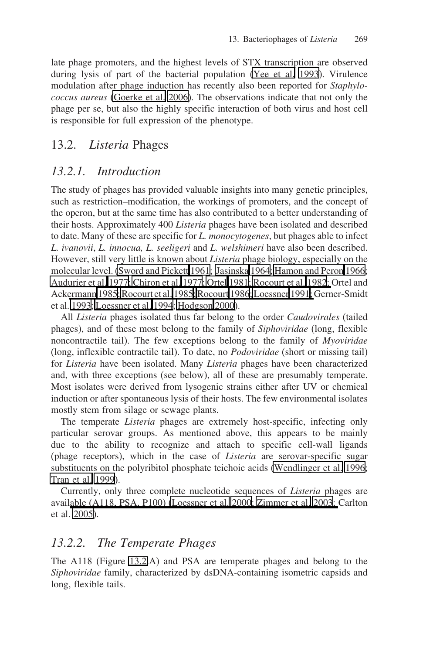late phage promoters, and the highest levels of STX transcription are observed during lysis of part of the bacterial population [\(Yee et al. 1993](#page-14-0)). Virulence modulation after phage induction has recently also been reported for *Staphylococcus aureus* [\(Goerke et al. 2006\)](#page-12-0). The observations indicate that not only the phage per se, but also the highly specific interaction of both virus and host cell is responsible for full expression of the phenotype.

## 13.2. *Listeria* Phages

#### *13.2.1. Introduction*

The study of phages has provided valuable insights into many genetic principles, such as restriction–modification, the workings of promoters, and the concept of the operon, but at the same time has also contributed to a better understanding of their hosts. Approximately 400 *Listeria* phages have been isolated and described to date. Many of these are specific for *L. monocytogenes*, but phages able to infect *L. ivanovii*, *L. innocua, L. seeligeri* and *L. welshimeri* have also been described. However, still very little is known about *Listeria* phage biology, especially on the molecular level. [\(Sword and Pickett 1961;](#page-14-0) [Jasinska 1964](#page-12-0); [Hamon and Peron 1966](#page-12-0); [Audurier et al. 1977](#page-11-0)[;](#page-13-0) [Chiron et al. 1977](#page-11-0)[; Ortel 1981; Rocourt et al. 1982;](#page-13-0) Ortel and Ack[ermann](#page-12-0) [1985](#page-13-0)[;](#page-12-0) [Rocourt et al. 1985](#page-13-0)[;](#page-12-0) [Rocourt 1986](#page-13-0)[;](#page-12-0) [Loessner 1991](#page-13-0)[;](#page-12-0) Gerner-Smidt et al. [1993;](#page-12-0) [Loessner et al. 1994](#page-13-0); [Hodgson 2000\)](#page-12-0).

All *Listeria* phages isolated thus far belong to the order *Caudovirales* (tailed phages), and of these most belong to the family of *Siphoviridae* (long, flexible noncontractile tail). The few exceptions belong to the family of *Myoviridae* (long, inflexible contractile tail). To date, no *Podoviridae* (short or missing tail) for *Listeria* have been isolated. Many *Listeria* phages have been characterized and, with three exceptions (see below), all of these are presumably temperate. Most isolates were derived from lysogenic strains either after UV or chemical induction or after spontaneous lysis of their hosts. The few environmental isolates mostly stem from silage or sewage plants.

The temperate *Listeria* phages are extremely host-specific, infecting only particular serovar groups. As mentioned above, this appears to be mainly due to the ability to recognize and attach to specific cell-wall ligands (phage receptors), which in the case of *Listeria* are serovar-specific sugar substituents on the polyribitol phosphate teichoic acids [\(Wendlinger et al. 1996](#page-14-0); [Tran et al. 1999\)](#page-14-0).

Currently, only three complete nucleotide sequences of *Listeria* phages are avail[able \(A118, PSA, P100\)](#page-11-0) [\(Loessner et al. 2000](#page-13-0)[;](#page-11-0) [Zimmer et al. 2003](#page-14-0)[;](#page-11-0) Carlton et al. [2005\)](#page-11-0).

#### *13.2.2. The Temperate Phages*

The A118 (Figure [13.2.](#page-5-0)A) and PSA are temperate phages and belong to the *Siphoviridae* family, characterized by dsDNA-containing isometric capsids and long, flexible tails.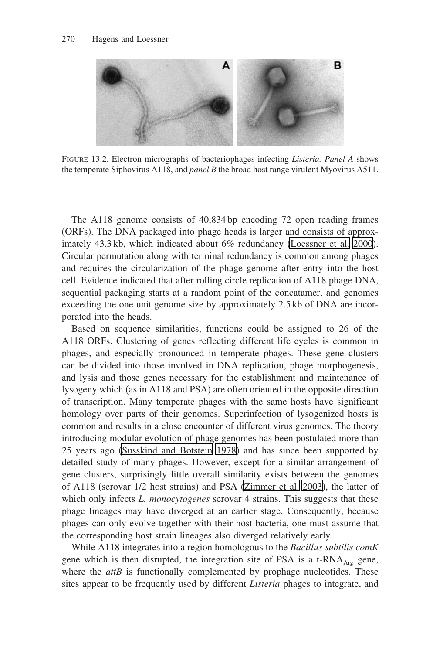<span id="page-5-0"></span>

Figure 13.2. Electron micrographs of bacteriophages infecting *Listeria. Panel A* shows the temperate Siphovirus A118, and *panel B* the broad host range virulent Myovirus A511.

The A118 genome consists of 40,834 bp encoding 72 open reading frames (ORFs). The DNA packaged into phage heads is larger and consists of approximately 43.3 kb, which indicated about 6% redundancy [\(Loessner et al. 2000\)](#page-13-0). Circular permutation along with terminal redundancy is common among phages and requires the circularization of the phage genome after entry into the host cell. Evidence indicated that after rolling circle replication of A118 phage DNA, sequential packaging starts at a random point of the concatamer, and genomes exceeding the one unit genome size by approximately 2.5 kb of DNA are incorporated into the heads.

Based on sequence similarities, functions could be assigned to 26 of the A118 ORFs. Clustering of genes reflecting different life cycles is common in phages, and especially pronounced in temperate phages. These gene clusters can be divided into those involved in DNA replication, phage morphogenesis, and lysis and those genes necessary for the establishment and maintenance of lysogeny which (as in A118 and PSA) are often oriented in the opposite direction of transcription. Many temperate phages with the same hosts have significant homology over parts of their genomes. Superinfection of lysogenized hosts is common and results in a close encounter of different virus genomes. The theory introducing modular evolution of phage genomes has been postulated more than 25 years ago [\(Susskind and Botstein 1978\)](#page-14-0) and has since been supported by detailed study of many phages. However, except for a similar arrangement of gene clusters, surprisingly little overall similarity exists between the genomes of A118 (serovar 1/2 host strains) and PSA [\(Zimmer et al. 2003](#page-14-0)), the latter of which only infects *L. monocytogenes* serovar 4 strains. This suggests that these phage lineages may have diverged at an earlier stage. Consequently, because phages can only evolve together with their host bacteria, one must assume that the corresponding host strain lineages also diverged relatively early.

While A118 integrates into a region homologous to the *Bacillus subtilis comK* gene which is then disrupted, the integration site of PSA is a  $t$ -RNA $_{A_{\text{RF}}}$  gene, where the *attB* is functionally complemented by prophage nucleotides. These sites appear to be frequently used by different *Listeria* phages to integrate, and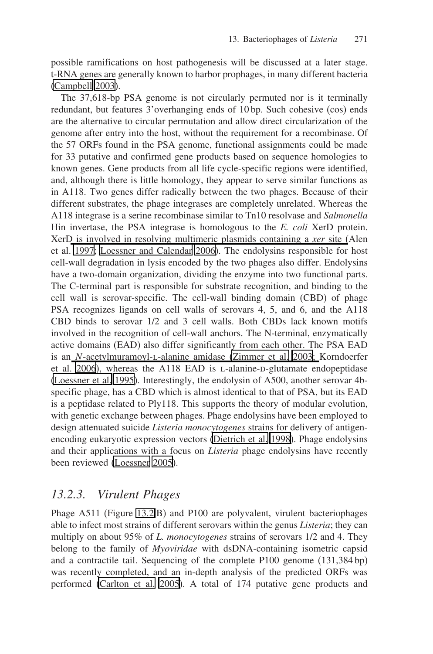possible ramifications on host pathogenesis will be discussed at a later stage. t-RNA genes are generally known to harbor prophages, in many different bacteria [\(Campbell 2003](#page-11-0)).

The 37,618-bp PSA genome is not circularly permuted nor is it terminally redundant, but features 3'overhanging ends of 10 bp. Such cohesive (cos) ends are the alternative to circular permutation and allow direct circularization of the genome after entry into the host, without the requirement for a recombinase. Of the 57 ORFs found in the PSA genome, functional assignments could be made for 33 putative and confirmed gene products based on sequence homologies to known genes. Gene products from all life cycle-specific regions were identified, and, although there is little homology, they appear to serve similar functions as in A118. Two genes differ radically between the two phages. Because of their different substrates, the phage integrases are completely unrelated. Whereas the A118 integrase is a serine recombinase similar to Tn10 resolvase and *Salmonella* Hin invertase, the PSA integrase is homologous to the *E. coli* XerD protein. Xer[D](#page-11-0) [is](#page-11-0) [involved](#page-11-0) [in](#page-11-0) [resolving](#page-11-0) [multimeric](#page-11-0) [plasmids](#page-11-0) [containing](#page-11-0) [a](#page-11-0) *xer* site (Alen et al. [1997;](#page-11-0) [Loessner and Calendar 2006](#page-13-0)). The endolysins responsible for host cell-wall degradation in lysis encoded by the two phages also differ. Endolysins have a two-domain organization, dividing the enzyme into two functional parts. The C-terminal part is responsible for substrate recognition, and binding to the cell wall is serovar-specific. The cell-wall binding domain (CBD) of phage PSA recognizes ligands on cell walls of serovars 4, 5, and 6, and the A118 CBD binds to serovar 1/2 and 3 cell walls. Both CBDs lack known motifs involved in the recognition of cell-wall anchors. The N-terminal, enzymatically active domains (EAD) also differ significantly from each other. The PSA EAD is an N-acetylmuramoyl-l[-alanine](#page-12-0) [amidase](#page-12-0) [\(Zimmer et al. 2003;](#page-14-0) Korndoerfer et al.  $2006$ ), whereas the A118 EAD is L-alanine-D-glutamate endopeptidase [\(Loessner et al. 1995\)](#page-13-0). Interestingly, the endolysin of A500, another serovar 4bspecific phage, has a CBD which is almost identical to that of PSA, but its EAD is a peptidase related to Ply118. This supports the theory of modular evolution, with genetic exchange between phages. Phage endolysins have been employed to design attenuated suicide *Listeria monocytogenes* strains for delivery of antigenencoding eukaryotic expression vectors [\(Dietrich et al. 1998\)](#page-11-0). Phage endolysins and their applications with a focus on *Listeria* phage endolysins have recently been reviewed [\(Loessner 2005\)](#page-13-0).

#### *13.2.3. Virulent Phages*

Phage A511 (Figure [13.2.](#page-5-0)B) and P100 are polyvalent, virulent bacteriophages able to infect most strains of different serovars within the genus *Listeria*; they can multiply on about 95% of *L. monocytogenes* strains of serovars 1/2 and 4. They belong to the family of *Myoviridae* with dsDNA-containing isometric capsid and a contractile tail. Sequencing of the complete P100 genome (131,384 bp) was recently completed, and an in-depth analysis of the predicted ORFs was performed [\(Carlton et al. 2005\)](#page-11-0). A total of 174 putative gene products and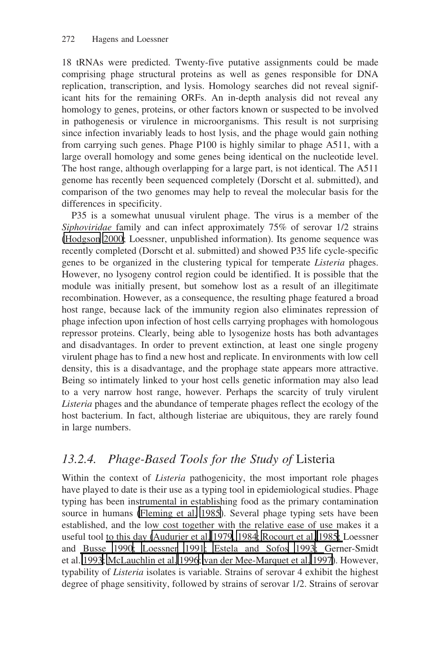18 tRNAs were predicted. Twenty-five putative assignments could be made comprising phage structural proteins as well as genes responsible for DNA replication, transcription, and lysis. Homology searches did not reveal significant hits for the remaining ORFs. An in-depth analysis did not reveal any homology to genes, proteins, or other factors known or suspected to be involved in pathogenesis or virulence in microorganisms. This result is not surprising since infection invariably leads to host lysis, and the phage would gain nothing from carrying such genes. Phage P100 is highly similar to phage A511, with a large overall homology and some genes being identical on the nucleotide level. The host range, although overlapping for a large part, is not identical. The A511 genome has recently been sequenced completely (Dorscht et al. submitted), and comparison of the two genomes may help to reveal the molecular basis for the differences in specificity.

P35 is a somewhat unusual virulent phage. The virus is a member of the *Siphoviridae* family and can infect approximately 75% of serovar 1/2 strains [\(Hodgson 2000;](#page-12-0) Loessner, unpublished information). Its genome sequence was recently completed (Dorscht et al. submitted) and showed P35 life cycle-specific genes to be organized in the clustering typical for temperate *Listeria* phages. However, no lysogeny control region could be identified. It is possible that the module was initially present, but somehow lost as a result of an illegitimate recombination. However, as a consequence, the resulting phage featured a broad host range, because lack of the immunity region also eliminates repression of phage infection upon infection of host cells carrying prophages with homologous repressor proteins. Clearly, being able to lysogenize hosts has both advantages and disadvantages. In order to prevent extinction, at least one single progeny virulent phage has to find a new host and replicate. In environments with low cell density, this is a disadvantage, and the prophage state appears more attractive. Being so intimately linked to your host cells genetic information may also lead to a very narrow host range, however. Perhaps the scarcity of truly virulent *Listeria* phages and the abundance of temperate phages reflect the ecology of the host bacterium. In fact, although listeriae are ubiquitous, they are rarely found in large numbers.

# *13.2.4. Phage-Based Tools for the Study of* Listeria

Within the context of *Listeria* pathogenicity, the most important role phages have played to date is their use as a typing tool in epidemiological studies. Phage typing has been instrumental in establishing food as the primary contamination source in humans [\(Fleming et al. 1985\)](#page-12-0). Several phage typing sets have been established, and the low cost together with the relative ease of use makes it a useful tool [to this day](#page-13-0) [\(Audurier et al. 1979](#page-11-0)[,](#page-13-0) [1984](#page-11-0)[; Rocourt et al. 1985;](#page-13-0) Loessner and [Busse](#page-12-0) [1990](#page-13-0)[;](#page-12-0) [Loessner 1991](#page-13-0)[; Estela and Sofos 1993;](#page-12-0) Gerner-Smidt et al. [1993;](#page-12-0) [McLauchlin et al. 1996;](#page-13-0) [van der Mee-Marquet et al. 1997\)](#page-14-0). However, typability of *Listeria* isolates is variable. Strains of serovar 4 exhibit the highest degree of phage sensitivity, followed by strains of serovar 1/2. Strains of serovar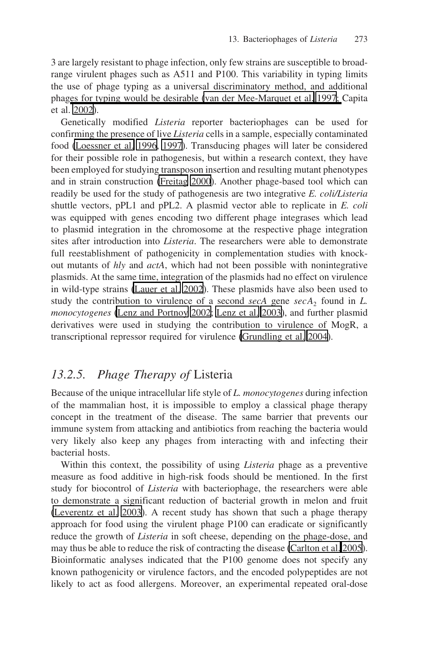3 are largely resistant to phage infection, only few strains are susceptible to broadrange virulent phages such as A511 and P100. This variability in typing limits the use of phage typing as a universal discriminatory method, and additional phag[es for typing would be desirable](#page-11-0) [\(van der Mee-Marquet et al. 1997](#page-14-0)[;](#page-11-0) Capita et al. [2002\)](#page-11-0).

Genetically modified *Listeria* reporter bacteriophages can be used for confirming the presence of live *Listeria* cells in a sample, especially contaminated food [\(Loessner et al. 1996, 1997\)](#page-13-0). Transducing phages will later be considered for their possible role in pathogenesis, but within a research context, they have been employed for studying transposon insertion and resulting mutant phenotypes and in strain construction [\(Freitag 2000\)](#page-12-0). Another phage-based tool which can readily be used for the study of pathogenesis are two integrative *E. coli/Listeria* shuttle vectors, pPL1 and pPL2. A plasmid vector able to replicate in *E. coli* was equipped with genes encoding two different phage integrases which lead to plasmid integration in the chromosome at the respective phage integration sites after introduction into *Listeria*. The researchers were able to demonstrate full reestablishment of pathogenicity in complementation studies with knockout mutants of *hly* and *actA*, which had not been possible with nonintegrative plasmids. At the same time, integration of the plasmids had no effect on virulence in wild-type strains [\(Lauer et al. 2002](#page-12-0)). These plasmids have also been used to study the contribution to virulence of a second  $secA$  gene  $secA_2$  found in  $L$ . *monocytogenes* [\(Lenz and Portnoy 2002; Lenz et al. 2003\)](#page-12-0), and further plasmid derivatives were used in studying the contribution to virulence of MogR, a transcriptional repressor required for virulence [\(Grundling et al. 2004\)](#page-12-0).

## *13.2.5. Phage Therapy of* Listeria

Because of the unique intracellular life style of *L. monocytogenes* during infection of the mammalian host, it is impossible to employ a classical phage therapy concept in the treatment of the disease. The same barrier that prevents our immune system from attacking and antibiotics from reaching the bacteria would very likely also keep any phages from interacting with and infecting their bacterial hosts.

Within this context, the possibility of using *Listeria* phage as a preventive measure as food additive in high-risk foods should be mentioned. In the first study for biocontrol of *Listeria* with bacteriophage, the researchers were able to demonstrate a significant reduction of bacterial growth in melon and fruit [\(Leverentz et al. 2003](#page-12-0)). A recent study has shown that such a phage therapy approach for food using the virulent phage P100 can eradicate or significantly reduce the growth of *Listeria* in soft cheese, depending on the phage-dose, and may thus be able to reduce the risk of contracting the disease [\(Carlton et al. 2005\)](#page-11-0). Bioinformatic analyses indicated that the P100 genome does not specify any known pathogenicity or virulence factors, and the encoded polypeptides are not likely to act as food allergens. Moreover, an experimental repeated oral-dose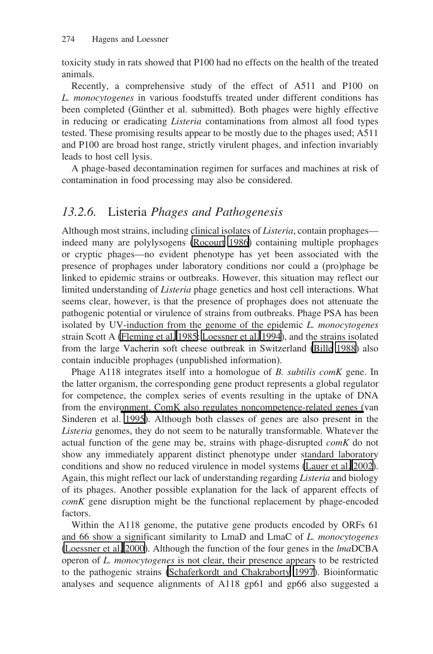toxicity study in rats showed that P100 had no effects on the health of the treated animals.

Recently, a comprehensive study of the effect of A511 and P100 on *L. monocytogenes* in various foodstuffs treated under different conditions has been completed (Günther et al. submitted). Both phages were highly effective in reducing or eradicating *Listeria* contaminations from almost all food types tested. These promising results appear to be mostly due to the phages used; A511 and P100 are broad host range, strictly virulent phages, and infection invariably leads to host cell lysis.

A phage-based decontamination regimen for surfaces and machines at risk of contamination in food processing may also be considered.

# *13.2.6.* Listeria *Phages and Pathogenesis*

Although most strains, including clinical isolates of *Listeria*, contain prophages indeed many are polylysogens [\(Rocourt 1986](#page-13-0)) containing multiple prophages or cryptic phages—no evident phenotype has yet been associated with the presence of prophages under laboratory conditions nor could a (pro)phage be linked to epidemic strains or outbreaks. However, this situation may reflect our limited understanding of *Listeria* phage genetics and host cell interactions. What seems clear, however, is that the presence of prophages does not attenuate the pathogenic potential or virulence of strains from outbreaks. Phage PSA has been isolated by UV-induction from the genome of the epidemic *L. monocytogenes* strain Scott A [\(Fleming et al. 1985;](#page-12-0) [Loessner et al. 1994](#page-13-0)), and the strains isolated from the large Vacherin soft cheese outbreak in Switzerland [\(Bille 1988\)](#page-11-0) also contain inducible prophages (unpublished information).

Phage A118 integrates itself into a homologue of *B. subtilis comK* gene. In the latter organism, the corresponding gene product represents a global regulator for competence, the complex series of events resulting in the uptake of DNA from the envir[onment. ComK also regulates noncompetence-related genes \(](#page-14-0)van Sinderen et al. [1995\)](#page-14-0). Although both classes of genes are also present in the *Listeria* genomes, they do not seem to be naturally transformable. Whatever the actual function of the gene may be, strains with phage-disrupted *comK* do not show any immediately apparent distinct phenotype under standard laboratory conditions and show no reduced virulence in model systems [\(Lauer et al. 2002\)](#page-12-0). Again, this might reflect our lack of understanding regarding *Listeria* and biology of its phages. Another possible explanation for the lack of apparent effects of *comK* gene disruption might be the functional replacement by phage-encoded factors.

Within the A118 genome, the putative gene products encoded by ORFs 61 and 66 show a significant similarity to LmaD and LmaC of *L. monocytogenes* [\(Loessner et al. 2000](#page-13-0)). Although the function of the four genes in the *lma*DCBA operon of *L. monocytogenes* is not clear, their presence appears to be restricted to the pathogenic strains [\(Schaferkordt and Chakraborty 1997\)](#page-14-0). Bioinformatic analyses and sequence alignments of A118 gp61 and gp66 also suggested a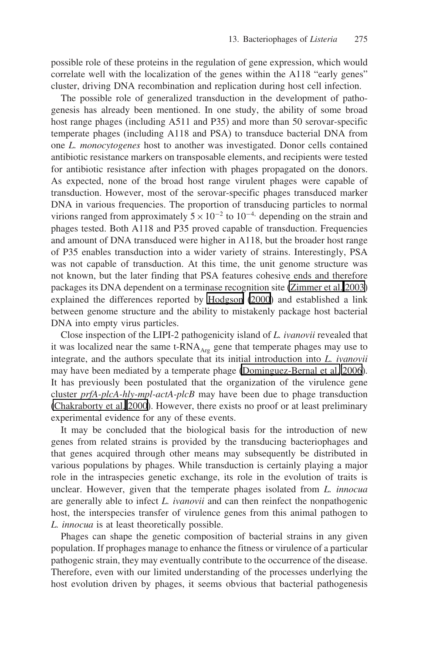possible role of these proteins in the regulation of gene expression, which would correlate well with the localization of the genes within the A118 "early genes" cluster, driving DNA recombination and replication during host cell infection.

The possible role of generalized transduction in the development of pathogenesis has already been mentioned. In one study, the ability of some broad host range phages (including A511 and P35) and more than 50 serovar-specific temperate phages (including A118 and PSA) to transduce bacterial DNA from one *L. monocytogenes* host to another was investigated. Donor cells contained antibiotic resistance markers on transposable elements, and recipients were tested for antibiotic resistance after infection with phages propagated on the donors. As expected, none of the broad host range virulent phages were capable of transduction. However, most of the serovar-specific phages transduced marker DNA in various frequencies. The proportion of transducing particles to normal virions ranged from approximately  $5 \times 10^{-2}$  to  $10^{-4}$ , depending on the strain and phages tested. Both A118 and P35 proved capable of transduction. Frequencies and amount of DNA transduced were higher in A118, but the broader host range of P35 enables transduction into a wider variety of strains. Interestingly, PSA was not capable of transduction. At this time, the unit genome structure was not known, but the later finding that PSA features cohesive ends and therefore packages its DNA dependent on a terminase recognition site [\(Zimmer et al. 2003](#page-14-0)) explained the differences reported by [Hodgson](#page-12-0) [\(2000\)](#page-12-0) and established a link between genome structure and the ability to mistakenly package host bacterial DNA into empty virus particles.

Close inspection of the LIPI-2 pathogenicity island of *L. ivanovii* revealed that it was localized near the same  $t$ -RNA $_{A_{r\sigma}}$  gene that temperate phages may use to integrate, and the authors speculate that its initial introduction into *L. ivanovii* may have been mediated by a temperate phage [\(Dominguez-Bernal et al. 2006\)](#page-11-0). It has previously been postulated that the organization of the virulence gene cluster *prfA-plcA-hly-mpl-actA-plcB* may have been due to phage transduction [\(Chakraborty et al. 2000](#page-11-0)). However, there exists no proof or at least preliminary experimental evidence for any of these events.

It may be concluded that the biological basis for the introduction of new genes from related strains is provided by the transducing bacteriophages and that genes acquired through other means may subsequently be distributed in various populations by phages. While transduction is certainly playing a major role in the intraspecies genetic exchange, its role in the evolution of traits is unclear. However, given that the temperate phages isolated from *L. innocua* are generally able to infect *L. ivanovii* and can then reinfect the nonpathogenic host, the interspecies transfer of virulence genes from this animal pathogen to *L. innocua* is at least theoretically possible.

Phages can shape the genetic composition of bacterial strains in any given population. If prophages manage to enhance the fitness or virulence of a particular pathogenic strain, they may eventually contribute to the occurrence of the disease. Therefore, even with our limited understanding of the processes underlying the host evolution driven by phages, it seems obvious that bacterial pathogenesis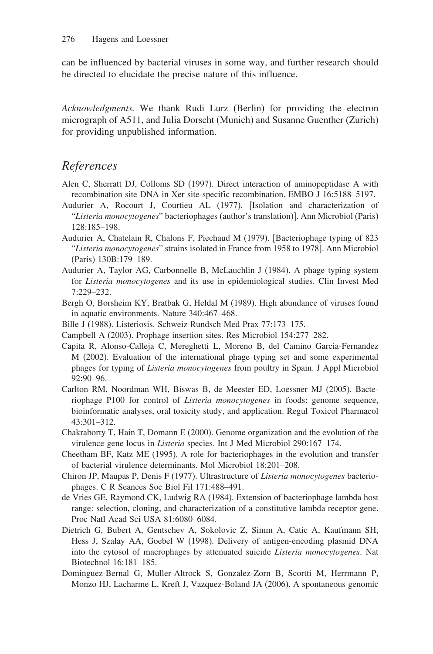<span id="page-11-0"></span>can be influenced by bacterial viruses in some way, and further research should be directed to elucidate the precise nature of this influence.

*Acknowledgments.* We thank Rudi Lurz (Berlin) for providing the electron micrograph of A511, and Julia Dorscht (Munich) and Susanne Guenther (Zurich) for providing unpublished information.

### *References*

- Alen C, Sherratt DJ, Colloms SD (1997). Direct interaction of aminopeptidase A with recombination site DNA in Xer site-specific recombination. EMBO J 16:5188–5197.
- Audurier A, Rocourt J, Courtieu AL (1977). [Isolation and characterization of "*Listeria monocytogenes*" bacteriophages (author's translation)]. Ann Microbiol (Paris) 128:185–198.
- Audurier A, Chatelain R, Chalons F, Piechaud M (1979). [Bacteriophage typing of 823 "*Listeria monocytogenes*" strains isolated in France from 1958 to 1978]. Ann Microbiol (Paris) 130B:179–189.
- Audurier A, Taylor AG, Carbonnelle B, McLauchlin J (1984). A phage typing system for *Listeria monocytogenes* and its use in epidemiological studies. Clin Invest Med 7:229–232.
- Bergh O, Borsheim KY, Bratbak G, Heldal M (1989). High abundance of viruses found in aquatic environments. Nature 340:467–468.
- Bille J (1988). Listeriosis. Schweiz Rundsch Med Prax 77:173–175.
- Campbell A (2003). Prophage insertion sites. Res Microbiol 154:277–282.
- Capita R, Alonso-Calleja C, Mereghetti L, Moreno B, del Camino Garcia-Fernandez M (2002). Evaluation of the international phage typing set and some experimental phages for typing of *Listeria monocytogenes* from poultry in Spain. J Appl Microbiol 92:90–96.
- Carlton RM, Noordman WH, Biswas B, de Meester ED, Loessner MJ (2005). Bacteriophage P100 for control of *Listeria monocytogenes* in foods: genome sequence, bioinformatic analyses, oral toxicity study, and application. Regul Toxicol Pharmacol 43:301–312.
- Chakraborty T, Hain T, Domann E (2000). Genome organization and the evolution of the virulence gene locus in *Listeria* species. Int J Med Microbiol 290:167–174.
- Cheetham BF, Katz ME (1995). A role for bacteriophages in the evolution and transfer of bacterial virulence determinants. Mol Microbiol 18:201–208.
- Chiron JP, Maupas P, Denis F (1977). Ultrastructure of *Listeria monocytogenes* bacteriophages. C R Seances Soc Biol Fil 171:488–491.
- de Vries GE, Raymond CK, Ludwig RA (1984). Extension of bacteriophage lambda host range: selection, cloning, and characterization of a constitutive lambda receptor gene. Proc Natl Acad Sci USA 81:6080–6084.
- Dietrich G, Bubert A, Gentschev A, Sokolovic Z, Simm A, Catic A, Kaufmann SH, Hess J, Szalay AA, Goebel W (1998). Delivery of antigen-encoding plasmid DNA into the cytosol of macrophages by attenuated suicide *Listeria monocytogenes*. Nat Biotechnol 16:181–185.
- Dominguez-Bernal G, Muller-Altrock S, Gonzalez-Zorn B, Scortti M, Herrmann P, Monzo HJ, Lacharme L, Kreft J, Vazquez-Boland JA (2006). A spontaneous genomic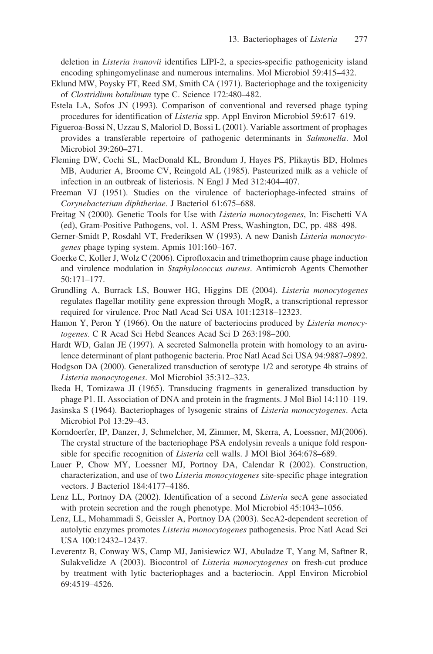<span id="page-12-0"></span>deletion in *Listeria ivanovii* identifies LIPI-2, a species-specific pathogenicity island encoding sphingomyelinase and numerous internalins. Mol Microbiol 59:415–432.

- Eklund MW, Poysky FT, Reed SM, Smith CA (1971). Bacteriophage and the toxigenicity of *Clostridium botulinum* type C. Science 172:480–482.
- Estela LA, Sofos JN (1993). Comparison of conventional and reversed phage typing procedures for identification of *Listeria* spp. Appl Environ Microbiol 59:617–619.
- Figueroa-Bossi N, Uzzau S, Maloriol D, Bossi L (2001). Variable assortment of prophages provides a transferable repertoire of pathogenic determinants in *Salmonella*. Mol Microbiol 39:260**–**271.
- Fleming DW, Cochi SL, MacDonald KL, Brondum J, Hayes PS, Plikaytis BD, Holmes MB, Audurier A, Broome CV, Reingold AL (1985). Pasteurized milk as a vehicle of infection in an outbreak of listeriosis. N Engl J Med 312:404–407.
- Freeman VJ (1951). Studies on the virulence of bacteriophage-infected strains of *Corynebacterium diphtheriae*. J Bacteriol 61:675–688.
- Freitag N (2000). Genetic Tools for Use with *Listeria monocytogenes*, In: Fischetti VA (ed), Gram-Positive Pathogens, vol. 1. ASM Press, Washington, DC, pp. 488–498.
- Gerner-Smidt P, Rosdahl VT, Frederiksen W (1993). A new Danish *Listeria monocytogenes* phage typing system. Apmis 101:160–167.
- Goerke C, Koller J, Wolz C (2006). Ciprofloxacin and trimethoprim cause phage induction and virulence modulation in *Staphylococcus aureus*. Antimicrob Agents Chemother 50:171–177.
- Grundling A, Burrack LS, Bouwer HG, Higgins DE (2004). *Listeria monocytogenes* regulates flagellar motility gene expression through MogR, a transcriptional repressor required for virulence. Proc Natl Acad Sci USA 101:12318–12323.
- Hamon Y, Peron Y (1966). On the nature of bacteriocins produced by *Listeria monocytogenes*. C R Acad Sci Hebd Seances Acad Sci D 263:198–200.
- Hardt WD, Galan JE (1997). A secreted Salmonella protein with homology to an avirulence determinant of plant pathogenic bacteria. Proc Natl Acad Sci USA 94:9887–9892.
- Hodgson DA (2000). Generalized transduction of serotype 1/2 and serotype 4b strains of *Listeria monocytogenes*. Mol Microbiol 35:312–323.
- Ikeda H, Tomizawa JI (1965). Transducing fragments in generalized transduction by phage P1. II. Association of DNA and protein in the fragments. J Mol Biol 14:110–119.
- Jasinska S (1964). Bacteriophages of lysogenic strains of *Listeria monocytogenes*. Acta Microbiol Pol 13:29–43.
- Korndoerfer, IP, Danzer, J, Schmelcher, M, Zimmer, M, Skerra, A, Loessner, MJ(2006). The crystal structure of the bacteriophage PSA endolysin reveals a unique fold responsible for specific recognition of *Listeria* cell walls. J MOl Biol 364:678–689.
- Lauer P, Chow MY, Loessner MJ, Portnoy DA, Calendar R (2002). Construction, characterization, and use of two *Listeria monocytogenes* site-specific phage integration vectors. J Bacteriol 184:4177–4186.
- Lenz LL, Portnoy DA (2002). Identification of a second *Listeria* secA gene associated with protein secretion and the rough phenotype. Mol Microbiol 45:1043–1056.
- Lenz, LL, Mohammadi S, Geissler A, Portnoy DA (2003). SecA2-dependent secretion of autolytic enzymes promotes *Listeria monocytogenes* pathogenesis. Proc Natl Acad Sci USA 100:12432–12437.
- Leverentz B, Conway WS, Camp MJ, Janisiewicz WJ, Abuladze T, Yang M, Saftner R, Sulakvelidze A (2003). Biocontrol of *Listeria monocytogenes* on fresh-cut produce by treatment with lytic bacteriophages and a bacteriocin. Appl Environ Microbiol 69:4519–4526.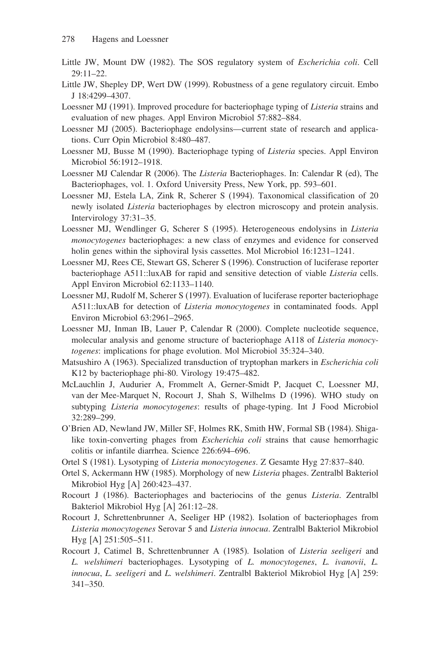- <span id="page-13-0"></span>Little JW, Mount DW (1982). The SOS regulatory system of *Escherichia coli*. Cell 29:11–22.
- Little JW, Shepley DP, Wert DW (1999). Robustness of a gene regulatory circuit. Embo J 18:4299–4307.
- Loessner MJ (1991). Improved procedure for bacteriophage typing of *Listeria* strains and evaluation of new phages. Appl Environ Microbiol 57:882–884.
- Loessner MJ (2005). Bacteriophage endolysins—current state of research and applications. Curr Opin Microbiol 8:480–487.
- Loessner MJ, Busse M (1990). Bacteriophage typing of *Listeria* species. Appl Environ Microbiol 56:1912–1918.
- Loessner MJ Calendar R (2006). The *Listeria* Bacteriophages. In: Calendar R (ed), The Bacteriophages, vol. 1. Oxford University Press, New York, pp. 593–601.
- Loessner MJ, Estela LA, Zink R, Scherer S (1994). Taxonomical classification of 20 newly isolated *Listeria* bacteriophages by electron microscopy and protein analysis. Intervirology 37:31–35.
- Loessner MJ, Wendlinger G, Scherer S (1995). Heterogeneous endolysins in *Listeria monocytogenes* bacteriophages: a new class of enzymes and evidence for conserved holin genes within the siphoviral lysis cassettes. Mol Microbiol 16:1231–1241.
- Loessner MJ, Rees CE, Stewart GS, Scherer S (1996). Construction of luciferase reporter bacteriophage A511::luxAB for rapid and sensitive detection of viable *Listeria* cells. Appl Environ Microbiol 62:1133–1140.
- Loessner MJ, Rudolf M, Scherer S (1997). Evaluation of luciferase reporter bacteriophage A511::luxAB for detection of *Listeria monocytogenes* in contaminated foods. Appl Environ Microbiol 63:2961–2965.
- Loessner MJ, Inman IB, Lauer P, Calendar R (2000). Complete nucleotide sequence, molecular analysis and genome structure of bacteriophage A118 of *Listeria monocytogenes*: implications for phage evolution. Mol Microbiol 35:324–340.
- Matsushiro A (1963). Specialized transduction of tryptophan markers in *Escherichia coli* K12 by bacteriophage phi-80. Virology 19:475–482.
- McLauchlin J, Audurier A, Frommelt A, Gerner-Smidt P, Jacquet C, Loessner MJ, van der Mee-Marquet N, Rocourt J, Shah S, Wilhelms D (1996). WHO study on subtyping *Listeria monocytogenes*: results of phage-typing. Int J Food Microbiol 32:289–299.
- O'Brien AD, Newland JW, Miller SF, Holmes RK, Smith HW, Formal SB (1984). Shigalike toxin-converting phages from *Escherichia coli* strains that cause hemorrhagic colitis or infantile diarrhea. Science 226:694–696.
- Ortel S (1981). Lysotyping of *Listeria monocytogenes*. Z Gesamte Hyg 27:837–840.
- Ortel S, Ackermann HW (1985). Morphology of new *Listeria* phages. Zentralbl Bakteriol Mikrobiol Hyg [A] 260:423–437.
- Rocourt J (1986). Bacteriophages and bacteriocins of the genus *Listeria*. Zentralbl Bakteriol Mikrobiol Hyg [A] 261:12–28.
- Rocourt J, Schrettenbrunner A, Seeliger HP (1982). Isolation of bacteriophages from *Listeria monocytogenes* Serovar 5 and *Listeria innocua*. Zentralbl Bakteriol Mikrobiol Hyg [A] 251:505–511.
- Rocourt J, Catimel B, Schrettenbrunner A (1985). Isolation of *Listeria seeligeri* and *L. welshimeri* bacteriophages. Lysotyping of *L. monocytogenes*, *L. ivanovii*, *L. innocua*, *L. seeligeri* and *L. welshimeri*. Zentralbl Bakteriol Mikrobiol Hyg [A] 259: 341–350.